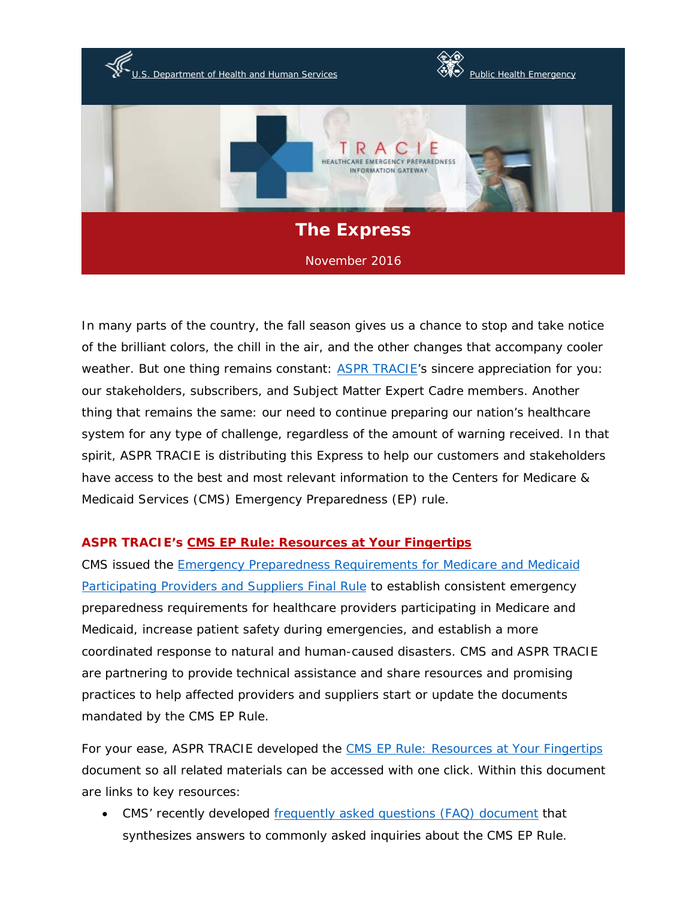

In many parts of the country, the fall season gives us a chance to stop and take notice of the brilliant colors, the chill in the air, and the other changes that accompany cooler weather. But one thing remains constant: [ASPR TRACIE'](https://asprtracie.hhs.gov/)s sincere appreciation for you: our stakeholders, subscribers, and Subject Matter Expert Cadre members. Another thing that remains the same: our need to continue preparing our nation's healthcare system for any type of challenge, regardless of the amount of warning received. In that spirit, ASPR TRACIE is distributing this Express to help our customers and stakeholders have access to the best and most relevant information to the Centers for Medicare & Medicaid Services (CMS) Emergency Preparedness (EP) rule.

## **ASPR TRACIE's CMS EP Rule: Resources at [Your Fingertips](https://asprtracie.hhs.gov/documents/cms-ep-rule-resources-at-your-fingertips.pdf)**

CMS issued the Emergency Preparedness [Requirements for](https://www.cms.gov/Medicare/Provider-Enrollment-and-Certification/SurveyCertEmergPrep/Emergency-Prep-Rule.html) Medicare and Medicaid [Participating Providers](https://www.cms.gov/Medicare/Provider-Enrollment-and-Certification/SurveyCertEmergPrep/Emergency-Prep-Rule.html) and Suppliers Final Rule to establish consistent emergency preparedness requirements for healthcare providers participating in Medicare and Medicaid, increase patient safety during emergencies, and establish a more coordinated response to natural and human-caused disasters. CMS and ASPR TRACIE are partnering to provide technical assistance and share resources and promising practices to help affected providers and suppliers start or update the documents mandated by the CMS EP Rule.

For your ease, ASPR TRACIE developed the [CMS EP Rule: Resources at Your Fingertips](https://asprtracie.hhs.gov/documents/cms-ep-rule-resources-at-your-fingertips.pdf) document so all related materials can be accessed with one click. Within this document are links to key resources:

• CMS' recently developed [frequently asked questions \(FAQ\) document](https://www.cms.gov/Medicare/Provider-Enrollment-and-Certification/SurveyCertEmergPrep/Downloads/Frequently-Asked-Questions-FAQs.pdf) that synthesizes answers to commonly asked inquiries about the CMS EP Rule.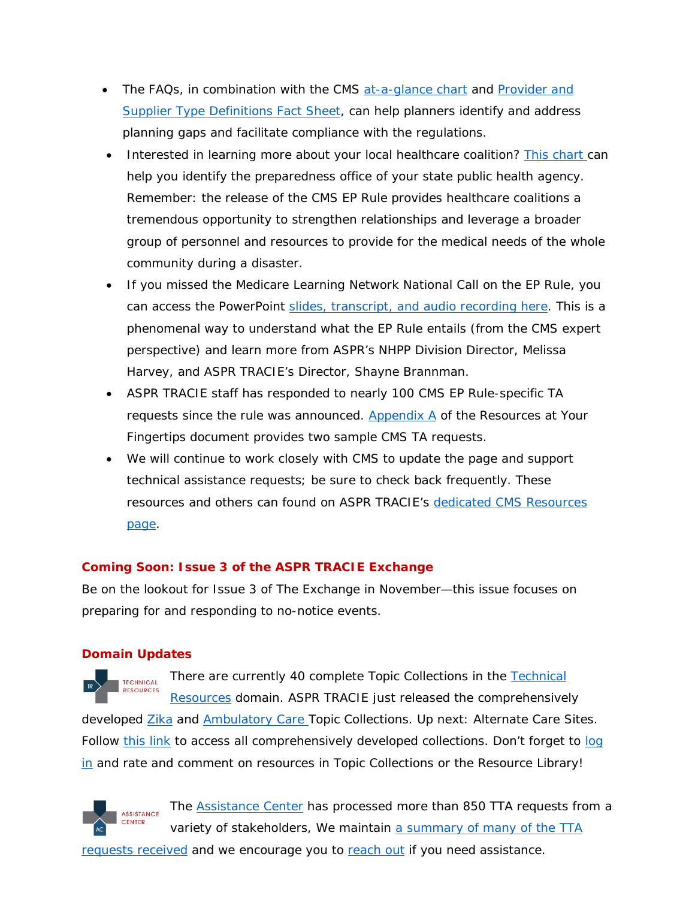- The FAQs, in combination with the CMS [at-a-glance chart](https://www.cms.gov/Medicare/Provider-Enrollment-and-Certification/SurveyCertEmergPrep/Downloads/EP-Rule-Table-Provider-Type.pdf) and Provider and [Supplier Type Definitions Fact Sheet,](https://asprtracie.hhs.gov/documents/aspr-tracie-ta-cms-rule-provider-type-definitions.pdf) can help planners identify and address planning gaps and facilitate compliance with the regulations.
- Interested in learning more about your local healthcare coalition? **This chart** can help you identify the preparedness office of your state public health agency. Remember: the release of the CMS EP Rule provides healthcare coalitions a tremendous opportunity to strengthen relationships and leverage a broader group of personnel and resources to provide for the medical needs of the whole community during a disaster.
- If you missed the Medicare Learning Network National Call on the EP Rule, you can access the PowerPoint [slides, transcript, and audio recording here.](https://www.cms.gov/Outreach-and-Education/Outreach/NPC/National-Provider-Calls-and-Events-Items/2016-10-05-Emergency-Preparedness.html?DLPage=1&DLEntries=10&DLSort=0&DLSortDir=descending) This is a phenomenal way to understand what the EP Rule entails (from the CMS expert perspective) and learn more from ASPR's NHPP Division Director, Melissa Harvey, and ASPR TRACIE's Director, Shayne Brannman.
- ASPR TRACIE staff has responded to nearly 100 CMS EP Rule-specific TA requests since the rule was announced. [Appendix A](https://asprtracie.hhs.gov/documents/cms-ep-rule-resources-at-your-fingertips.pdf) of the Resources at Your Fingertips document provides two sample CMS TA requests.
- We will continue to work closely with CMS to update the page and support technical assistance requests; be sure to check back frequently. These resources and others can found on ASPR TRACIE's [dedicated CMS Resources](https://asprtracie.hhs.gov/cmsrule)  [page.](https://asprtracie.hhs.gov/cmsrule)

## **Coming Soon: Issue 3 of the ASPR TRACIE Exchange**

Be on the lookout for Issue 3 of *The Exchange* in November—this issue focuses on preparing for and responding to no-notice events.

## **Domain Updates**

There are currently 40 complete Topic Collections in the Technical **TECHNICAL**<br>RESOURCES [Resources](https://asprtracie.hhs.gov/technical-resources) domain. ASPR TRACIE just released the comprehensively developed [Zika](https://asprtracie.hhs.gov/technical-resources/87/Zika/43) and [Ambulatory Care T](https://asprtracie.hhs.gov/technical-resources/49/Ambulatory-Care-and-Federally-Qualified-Health-Centers-FQHC/47)opic Collections. Up next: Alternate Care Sites. Follow [this link](https://asprtracie.hhs.gov/technical-resources/topic-collection) to access all comprehensively developed collections. Don't forget to log [in](https://asprtracie.hhs.gov/login) and rate and comment on resources in Topic Collections or the Resource Library!

The [Assistance Center](https://asprtracie.hhs.gov/assistance-center) has processed more than 850 TTA requests from a ASSISTANCE variety of stakeholders, We maintain a summary of many of the TTA

[requests received](https://asprtracie.hhs.gov/Documents/ASPR-TRACIE-TTA-Requests.pdf) and we encourage you to [reach out](https://asprtracie.hhs.gov/assistance-center) if you need assistance.